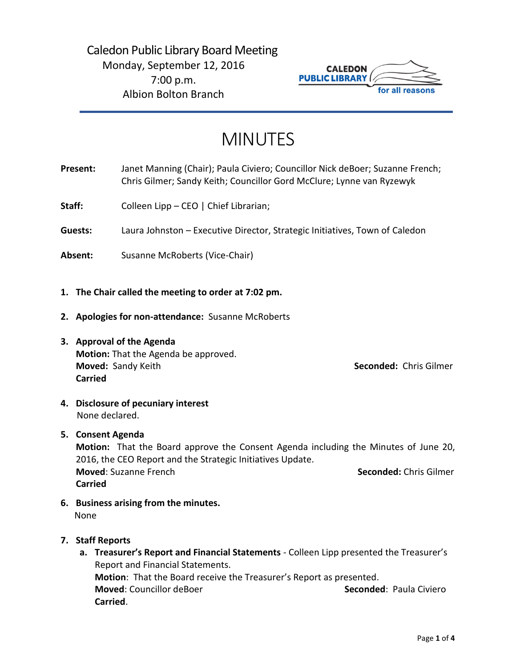

# MINUTES

**Present:** Janet Manning (Chair); Paula Civiero; Councillor Nick deBoer; Suzanne French; Chris Gilmer; Sandy Keith; Councillor Gord McClure; Lynne van Ryzewyk

Staff: Colleen Lipp – CEO | Chief Librarian;

**Guests:** Laura Johnston – Executive Director, Strategic Initiatives, Town of Caledon

Absent: Susanne McRoberts (Vice-Chair)

- **1. The Chair called the meeting to order at 7:02 pm.**
- **2. Apologies for non-attendance:** Susanne McRoberts
- **3. Approval of the Agenda Motion:** That the Agenda be approved. **Moved:** Sandy Keith **Seconded:** Chris Gilmer **Carried**

**4. Disclosure of pecuniary interest** None declared.

## **5. Consent Agenda**

**Motion:** That the Board approve the Consent Agenda including the Minutes of June 20, 2016, the CEO Report and the Strategic Initiatives Update. **Moved:** Suzanne French **Seconded:** Chris Gilmer **Carried**

- **6. Business arising from the minutes.** None
- **7. Staff Reports**
	- **a. Treasurer's Report and Financial Statements** Colleen Lipp presented the Treasurer's Report and Financial Statements. **Motion**: That the Board receive the Treasurer's Report as presented. **Moved:** Councillor deBoer **Seconded:** Paula Civiero **Carried**.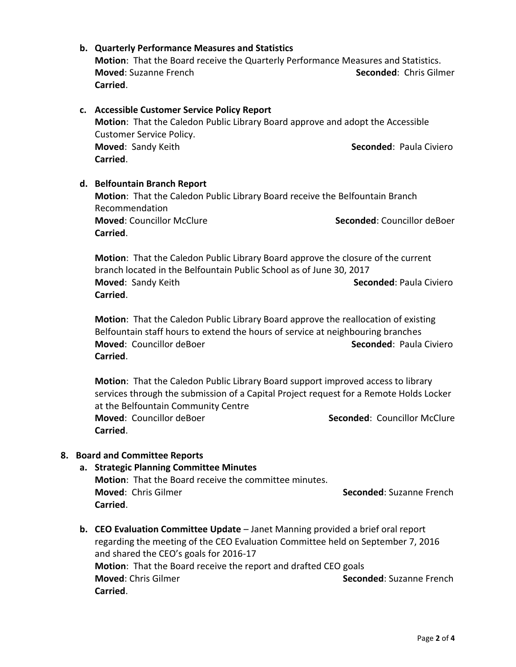## **b. Quarterly Performance Measures and Statistics**

**Motion**: That the Board receive the Quarterly Performance Measures and Statistics. **Moved**: Suzanne French **Seconded**: Chris Gilmer **Carried**.

## **c. Accessible Customer Service Policy Report**

**Motion**: That the Caledon Public Library Board approve and adopt the Accessible Customer Service Policy. **Moved**: Sandy Keith **Seconded**: Paula Civiero **Carried**.

### **d. Belfountain Branch Report**

**Motion**: That the Caledon Public Library Board receive the Belfountain Branch Recommendation **Moved: Councillor McClure Seconded: Councillor deBoer Seconded: Councillor deBoer Carried**.

**Motion**: That the Caledon Public Library Board approve the closure of the current branch located in the Belfountain Public School as of June 30, 2017 **Moved: Sandy Keith <b>Seconded**: Paula Civiero **Carried**.

**Motion**: That the Caledon Public Library Board approve the reallocation of existing Belfountain staff hours to extend the hours of service at neighbouring branches **Moved:** Councillor deBoer **Seconded:** Paula Civiero **Carried**.

**Motion**: That the Caledon Public Library Board support improved access to library services through the submission of a Capital Project request for a Remote Holds Locker at the Belfountain Community Centre **Moved**: Councillor deBoer **Seconded**: Councillor McClure **Carried**.

## **8. Board and Committee Reports**

- **a. Strategic Planning Committee Minutes Motion**: That the Board receive the committee minutes. **Moved: Chris Gilmer <b>Seconded**: Suzanne French **Carried**.
- **b. CEO Evaluation Committee Update**  Janet Manning provided a brief oral report regarding the meeting of the CEO Evaluation Committee held on September 7, 2016 and shared the CEO's goals for 2016-17 **Motion**: That the Board receive the report and drafted CEO goals **Moved:** Chris Gilmer **Seconded:** Suzanne French **Carried**.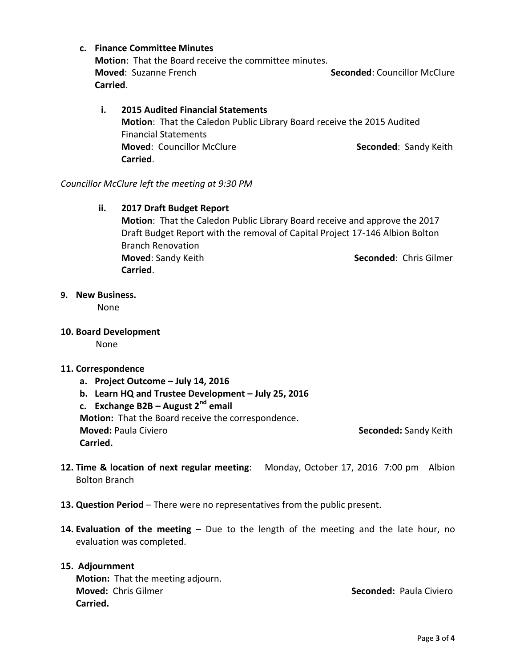## **c. Finance Committee Minutes**

**Motion**: That the Board receive the committee minutes. **Moved**: Suzanne French **Seconded**: Councillor McClure **Carried**.

## **i. 2015 Audited Financial Statements Motion**: That the Caledon Public Library Board receive the 2015 Audited Financial Statements **Moved: Councillor McClure <b>Seconded**: Sandy Keith **Carried**.

### *Councillor McClure left the meeting at 9:30 PM*

## **ii. 2017 Draft Budget Report**

**Motion**: That the Caledon Public Library Board receive and approve the 2017 Draft Budget Report with the removal of Capital Project 17-146 Albion Bolton Branch Renovation **Moved**: Sandy Keith **Seconded**: Chris Gilmer **Carried**.

## **9. New Business.**

None

**10. Board Development**

None

## **11. Correspondence**

**Carried.**

- **a. Project Outcome – July 14, 2016**
- **b. Learn HQ and Trustee Development – July 25, 2016**

**c. Exchange B2B – August 2nd email**

**Motion:** That the Board receive the correspondence. **Moved:** Paula Civiero **Seconded:** Sandy Keith

- **12. Time & location of next regular meeting**: Monday, October 17, 2016 7:00 pm Albion Bolton Branch
- **13. Question Period**  There were no representatives from the public present.
- **14. Evaluation of the meeting**  Due to the length of the meeting and the late hour, no evaluation was completed.

### **15. Adjournment**

**Motion:** That the meeting adjourn. **Moved:** Chris Gilmer **Seconded:** Paula Civiero **Carried.**